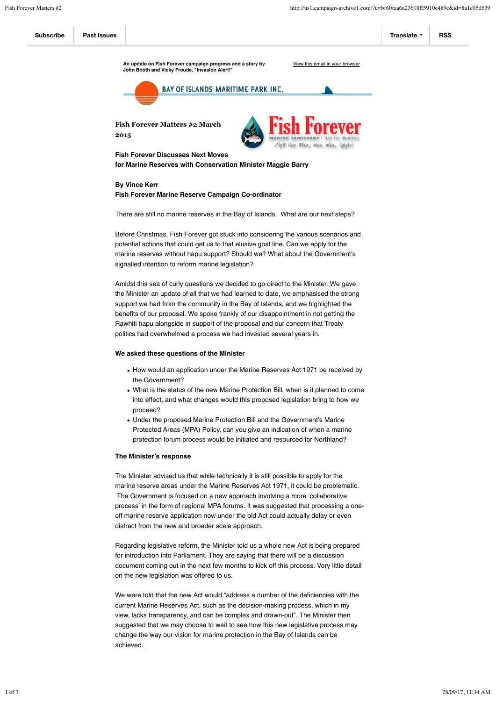# **By Vince Kerr Fish Forever Marine Reserve Campaign Co-ordinator**

There are still no marine reserves in the Bay of Islands. What are our next steps?

Before Christmas, Fish Forever got stuck into considering the various scenarios and potential actions that could get us to that elusive goal line. Can we apply for the marine reserves without hapu support? Should we? What about the Government's signalled intention to reform marine legislation?

- How would an application under the Marine Reserves Act 1971 be received by the Government?
- What is the status of the new Marine Protection Bill, when is it planned to come into effect, and what changes would this proposed legislation bring to how we proceed?
- Under the proposed Marine Protection Bill and the Government's Marine Protected Areas (MPA) Policy, can you give an indication of when a marine protection forum process would be initiated and resourced for Northland?

Amidst this sea of curly questions we decided to go direct to the Minister. We gave the Minister an update of all that we had learned to date, we emphasised the strong support we had from the community in the Bay of Islands, and we highlighted the benefits of our proposal. We spoke frankly of our disappointment in not getting the Rawhiti hapu alongside in support of the proposal and our concern that Treaty politics had overwhelmed a process we had invested several years in.

### **We asked these questions of the Minister**



### **The Minister's response**

The Minister advised us that while technically it is still possible to apply for the marine reserve areas under the Marine Reserves Act 1971, it could be problematic. The Government is focused on a new approach involving a more 'collaborative process' in the form of regional MPA forums. It was suggested that processing a oneoff marine reserve application now under the old Act could actually delay or even distract from the new and broader scale approach.

Regarding legislative reform, the Minister told us a whole new Act is being prepared for introduction into Parliament. They are saying that there will be a discussion document coming out in the next few months to kick off this process. Very little detail on the new legislation was offered to us.

We were told that the new Act would "address a number of the deficiencies with the current Marine Reserves Act, such as the decision-making process, which in my view, lacks transparency, and can be complex and drawn-out". The Minister then suggested that we may choose to wait to see how this new legislative process may change the way our vision for marine protection in the Bay of Islands can be achieved.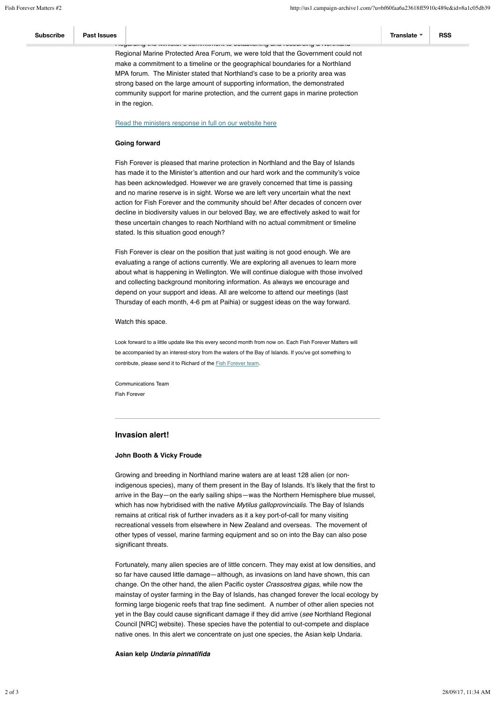community support for marine protection, and the current gaps in marine protection in the region.

#### Read the ministers response in full on our website here

# **Going forward**

Look forward to a little update like this every second month from now on. Each Fish Forever Matters will be accompanied by an interest-story from the waters of the Bay of Islands. If you've got something to contribute, please send it to Richard of the **Fish Forever team**.

Fish Forever is pleased that marine protection in Northland and the Bay of Islands has made it to the Minister's attention and our hard work and the community's voice has been acknowledged. However we are gravely concerned that time is passing and no marine reserve is in sight. Worse we are left very uncertain what the next action for Fish Forever and the community should be! After decades of concern over decline in biodiversity values in our beloved Bay, we are effectively asked to wait for these uncertain changes to reach Northland with no actual commitment or timeline stated. Is this situation good enough?

Fish Forever is clear on the position that just waiting is not good enough. We are evaluating a range of actions currently. We are exploring all avenues to learn more about what is happening in Wellington. We will continue dialogue with those involved and collecting background monitoring information. As always we encourage and depend on your support and ideas. All are welcome to attend our meetings (last Thursday of each month, 4-6 pm at Paihia) or suggest ideas on the way forward.

Watch this space.

| <b>Subscribe</b>                                                                 | <b>Past Issues</b>                                                             |                                                                                | Translate | <b>RSS</b> |  |
|----------------------------------------------------------------------------------|--------------------------------------------------------------------------------|--------------------------------------------------------------------------------|-----------|------------|--|
| המשמחות היה מחדשתי ס סטווחותווסות גס סטנגטוסוווק מחס וסטטמוטווק מ מסוגותומות     |                                                                                |                                                                                |           |            |  |
| Regional Marine Protected Area Forum, we were told that the Government could not |                                                                                |                                                                                |           |            |  |
|                                                                                  | make a commitment to a timeline or the geographical boundaries for a Northland |                                                                                |           |            |  |
|                                                                                  |                                                                                | MPA forum. The Minister stated that Northland's case to be a priority area was |           |            |  |
|                                                                                  |                                                                                | strong based on the large amount of supporting information, the demonstrated   |           |            |  |

Communications Team Fish Forever

# **Invasion alert!**

#### **John Booth & Vicky Froude**

Growing and breeding in Northland marine waters are at least 128 alien (or nonindigenous species), many of them present in the Bay of Islands. It's likely that the first to arrive in the Bay—on the early sailing ships—was the Northern Hemisphere blue mussel, which has now hybridised with the native *Mytilus galloprovincialis*. The Bay of Islands remains at critical risk of further invaders as it a key port-of-call for many visiting recreational vessels from elsewhere in New Zealand and overseas. The movement of

other types of vessel, marine farming equipment and so on into the Bay can also pose significant threats.

Fortunately, many alien species are of little concern. They may exist at low densities, and so far have caused little damage—although, as invasions on land have shown, this can change. On the other hand, the alien Pacific oyster *Crassostrea gigas*, while now the mainstay of oyster farming in the Bay of Islands, has changed forever the local ecology by forming large biogenic reefs that trap fine sediment. A number of other alien species not yet in the Bay could cause significant damage if they did arrive (*see* Northland Regional Council [NRC] website). These species have the potential to out-compete and displace native ones. In this alert we concentrate on just one species, the Asian kelp Undaria.

**Asian kelp** *Undaria pinnatifida*